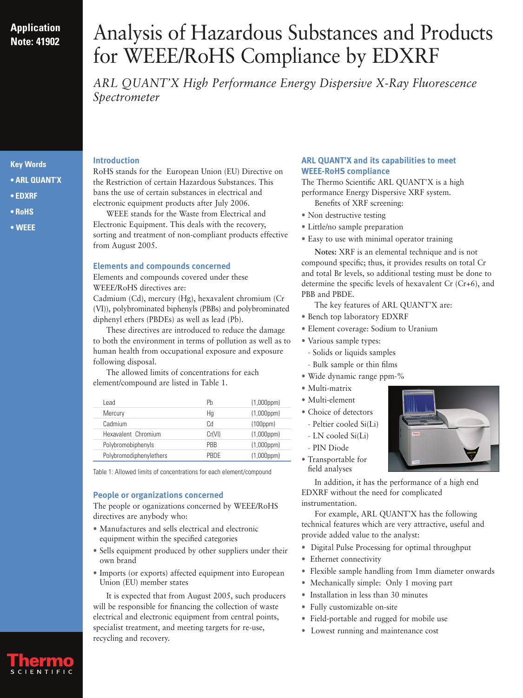# **Application Note: 41902**

# Analysis of Hazardous Substances and Products for WEEE/RoHS Compliance by EDXRF

*ARL QUANT'X High Performance Energy Dispersive X-Ray Fluorescence Spectrometer*

## **Key Words**

- **ARL QUANT'X**
- **EDXRF**
- **RoHS**
- **• WEEE**

#### **Introduction**

RoHS stands for the European Union (EU) Directive on the Restriction of certain Hazardous Substances. This bans the use of certain substances in electrical and electronic equipment products after July 2006.

WEEE stands for the Waste from Electrical and Electronic Equipment. This deals with the recovery, sorting and treatment of non-compliant products effective from August 2005.

#### **Elements and compounds concerned**

Elements and compounds covered under these WEEE/RoHS directives are:

Cadmium (Cd), mercury (Hg), hexavalent chromium (Cr (VI)), polybrominated biphenyls (PBBs) and polybrominated diphenyl ethers (PBDEs) as well as lead (Pb).

These directives are introduced to reduce the damage to both the environment in terms of pollution as well as to human health from occupational exposure and exposure following disposal.

The allowed limits of concentrations for each element/compound are listed in Table 1.

| Lead                    | Ph         | $(1,000$ ppm $)$ |
|-------------------------|------------|------------------|
| Mercury                 | Hq         | $(1,000$ ppm $)$ |
| Cadmium                 | Cd         | (100ppm)         |
| Hexavalent Chromium     | Cr(VI)     | $(1,000$ ppm $)$ |
| Polybromobiphenyls      | <b>PRR</b> | $(1,000$ ppm $)$ |
| Polybromodiphenylethers | PRDF       | $(1,000$ ppm $)$ |

Table 1: Allowed limits of concentrations for each element/compound

#### **People or organizations concerned**

The people or oganizations concerned by WEEE/RoHS directives are anybody who:

- Manufactures and sells electrical and electronic equipment within the specified categories
- Sells equipment produced by other suppliers under their own brand
- Imports (or exports) affected equipment into European Union (EU) member states

It is expected that from August 2005, such producers will be responsible for financing the collection of waste electrical and electronic equipment from central points, specialist treatment, and meeting targets for re-use, recycling and recovery.

#### **ARL QUANT'X and its capabilities to meet WEEE-RoHS compliance**

The Thermo Scientific ARL QUANT'X is a high performance Energy Dispersive XRF system.

- Benefits of XRF screening:
- Non destructive testing
- Little/no sample preparation
- Easy to use with minimal operator training

**Notes:** XRF is an elemental technique and is not compound specific; thus, it provides results on total Cr and total Br levels, so additional testing must be done to determine the specific levels of hexavalent Cr (Cr+6), and PBB and PBDE.

The key features of ARL QUANT'X are:

- Bench top laboratory EDXRF
- Element coverage: Sodium to Uranium
- Various sample types:
	- Solids or liquids samples
- Bulk sample or thin films
- Wide dynamic range ppm-%
- Multi-matrix
- Multi-element
- Choice of detectors
	- Peltier cooled Si(Li)
	- LN cooled Si(Li)
	- PIN Diode
- Transportable for field analyses

In addition, it has the performance of a high end EDXRF without the need for complicated instrumentation.

For example, ARL QUANT'X has the following technical features which are very attractive, useful and provide added value to the analyst:

- Digital Pulse Processing for optimal throughput
- Ethernet connectivity
- Flexible sample handling from 1mm diameter onwards
- Mechanically simple: Only 1 moving part
- Installation in less than 30 minutes
- Fully customizable on-site
- Field-portable and rugged for mobile use
- Lowest running and maintenance cost